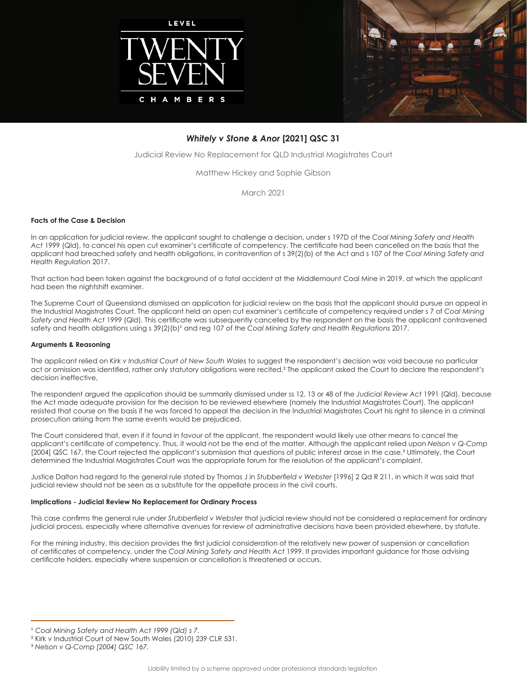



# *Whitely v Stone & Anor* **[2021] QSC 31**

Judicial Review No Replacement for QLD Industrial Magistrates Court

Matthew Hickey and Sophie Gibson

March 2021

### **Facts of the Case & Decision**

In an application for judicial review, the applicant sought to challenge a decision, under s 197D of the *Coal Mining Safety and Health Act* 1999 (Qld), to cancel his open cut examiner's certificate of competency. The certificate had been cancelled on the basis that the applicant had breached safety and health obligations, in contravention of s 39(2)(b) of the Act and s 107 of the *Coal Mining Safety and Health Regulation* 2017.

That action had been taken against the background of a fatal accident at the Middlemount Coal Mine in 2019, at which the applicant had been the nightshift examiner.

The Supreme Court of Queensland dismissed an application for judicial review on the basis that the applicant should pursue an appeal in the Industrial Magistrates Court. The applicant held an open cut examiner's certificate of competency required under s 7 of *Coal Mining Safety and Health Act* 1999 (Qld). This certificate was subsequently cancelled by the respondent on the basis the applicant contravened safety and health obligations using s 39(2)(b)<sup>1</sup> and reg 107 of the *Coal Mining Safety and Health Regulations* 2017.

### **Arguments & Reasoning**

The applicant relied on *Kirk v Industrial Court of New South Wales* to suggest the respondent's decision was void because no particular act or omission was identified, rather only statutory obligations were recited.² The applicant asked the Court to declare the respondent's decision ineffective,

The respondent argued the application should be summarily dismissed under ss 12, 13 or 48 of the *Judicial Review Act* 1991 (Qld), because the Act made adequate provision for the decision to be reviewed elsewhere (namely the Industrial Magistrates Court). The applicant resisted that course on the basis if he was forced to appeal the decision in the Industrial Magistrates Court his right to silence in a criminal prosecution arising from the same events would be prejudiced.

The Court considered that, even if it found in favour of the applicant, the respondent would likely use other means to cancel the applicant's certificate of competency. Thus, it would not be the end of the matter. Although the applicant relied upon *Nelson v Q-Comp* [2004] QSC 167, the Court rejected the applicant's submission that questions of public interest arose in the case.<sup>3</sup> Ultimately, the Court determined the Industrial Magistrates Court was the appropriate forum for the resolution of the applicant's complaint.

Justice Dalton had regard to the general rule stated by Thomas J in *Stubberfield v Webster* [1996] 2 Qd R 211, in which it was said that judicial review should not be seen as a substitute for the appellate process in the civil courts.

### **Implications - Judicial Review No Replacement for Ordinary Process**

This case confirms the general rule under *Stubberfield v Webster* that judicial review should not be considered a replacement for ordinary judicial process, especially where alternative avenues for review of administrative decisions have been provided elsewhere, by statute.

For the mining industry, this decision provides the first judicial consideration of the relatively new power of suspension or cancellation of certificates of competency, under the *Coal Mining Safety and Health Act* 1999. It provides important guidance for those advising certificate holders, especially where suspension or cancellation is threatened or occurs.

<sup>&</sup>lt;sup>1</sup> Coal Mining Safety and Health Act 1999 (Qld) s 7.

² Kirk v Industrial Court of New South Wales (2010) 239 CLR 531.

³ *Nelson v Q-Comp [2004] QSC 167.*